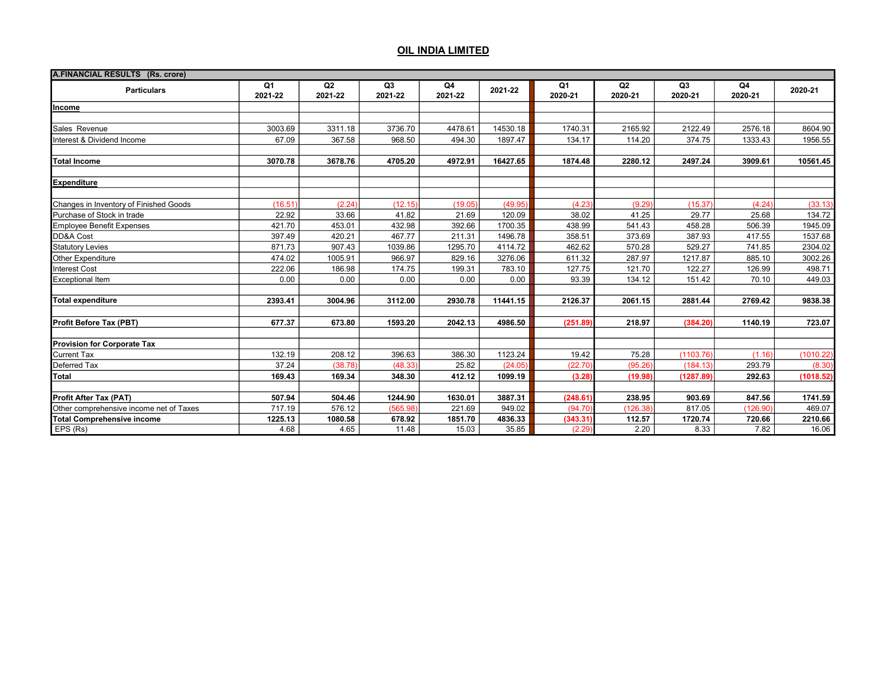| A.FINANCIAL RESULTS (Rs. crore)         |               |                           |                           |               |          |               |               |                           |               |           |
|-----------------------------------------|---------------|---------------------------|---------------------------|---------------|----------|---------------|---------------|---------------------------|---------------|-----------|
| <b>Particulars</b>                      | Q1<br>2021-22 | Q <sub>2</sub><br>2021-22 | Q <sub>3</sub><br>2021-22 | Q4<br>2021-22 | 2021-22  | Q1<br>2020-21 | Q2<br>2020-21 | Q <sub>3</sub><br>2020-21 | Q4<br>2020-21 | 2020-21   |
| Income                                  |               |                           |                           |               |          |               |               |                           |               |           |
|                                         |               |                           |                           |               |          |               |               |                           |               |           |
| Sales Revenue                           | 3003.69       | 3311.18                   | 3736.70                   | 4478.61       | 14530.18 | 1740.31       | 2165.92       | 2122.49                   | 2576.18       | 8604.90   |
| Interest & Dividend Income              | 67.09         | 367.58                    | 968.50                    | 494.30        | 1897.47  | 134.17        | 114.20        | 374.75                    | 1333.43       | 1956.55   |
| <b>Total Income</b>                     | 3070.78       | 3678.76                   | 4705.20                   | 4972.91       | 16427.65 | 1874.48       | 2280.12       | 2497.24                   | 3909.61       | 10561.45  |
| <b>Expenditure</b>                      |               |                           |                           |               |          |               |               |                           |               |           |
| Changes in Inventory of Finished Goods  | (16.51)       | (2.24)                    | (12.15)                   | (19.05)       | (49.95)  | (4.23)        | (9.29)        | (15.37)                   | (4.24)        | (33.13)   |
| Purchase of Stock in trade              | 22.92         | 33.66                     | 41.82                     | 21.69         | 120.09   | 38.02         | 41.25         | 29.77                     | 25.68         | 134.72    |
| <b>Employee Benefit Expenses</b>        | 421.70        | 453.01                    | 432.98                    | 392.66        | 1700.35  | 438.99        | 541.43        | 458.28                    | 506.39        | 1945.09   |
| DD&A Cost                               | 397.49        | 420.21                    | 467.77                    | 211.31        | 1496.78  | 358.51        | 373.69        | 387.93                    | 417.55        | 1537.68   |
| <b>Statutory Levies</b>                 | 871.73        | 907.43                    | 1039.86                   | 1295.70       | 4114.72  | 462.62        | 570.28        | 529.27                    | 741.85        | 2304.02   |
| Other Expenditure                       | 474.02        | 1005.91                   | 966.97                    | 829.16        | 3276.06  | 611.32        | 287.97        | 1217.87                   | 885.10        | 3002.26   |
| <b>Interest Cost</b>                    | 222.06        | 186.98                    | 174.75                    | 199.31        | 783.10   | 127.75        | 121.70        | 122.27                    | 126.99        | 498.71    |
| <b>Exceptional Item</b>                 | 0.00          | 0.00                      | 0.00                      | 0.00          | 0.00     | 93.39         | 134.12        | 151.42                    | 70.10         | 449.03    |
| <b>Total expenditure</b>                | 2393.41       | 3004.96                   | 3112.00                   | 2930.78       | 11441.15 | 2126.37       | 2061.15       | 2881.44                   | 2769.42       | 9838.38   |
| <b>Profit Before Tax (PBT)</b>          | 677.37        | 673.80                    | 1593.20                   | 2042.13       | 4986.50  | (251.89)      | 218.97        | (384.20)                  | 1140.19       | 723.07    |
| <b>Provision for Corporate Tax</b>      |               |                           |                           |               |          |               |               |                           |               |           |
| Current Tax                             | 132.19        | 208.12                    | 396.63                    | 386.30        | 1123.24  | 19.42         | 75.28         | (1103.76)                 | (1.16)        | (1010.22) |
| Deferred Tax                            | 37.24         | (38.78)                   | (48.33)                   | 25.82         | (24.05)  | (22.70        | (95.26)       | (184.13)                  | 293.79        | (8.30)    |
| <b>Total</b>                            | 169.43        | 169.34                    | 348.30                    | 412.12        | 1099.19  | (3.28)        | (19.98)       | (1287.89)                 | 292.63        | (1018.52) |
| Profit After Tax (PAT)                  | 507.94        | 504.46                    | 1244.90                   | 1630.01       | 3887.31  | (248.61)      | 238.95        | 903.69                    | 847.56        | 1741.59   |
| Other comprehensive income net of Taxes | 717.19        | 576.12                    | (565.98)                  | 221.69        | 949.02   | (94.70)       | (126.38)      | 817.05                    | (126.90)      | 469.07    |
| <b>Total Comprehensive income</b>       | 1225.13       | 1080.58                   | 678.92                    | 1851.70       | 4836.33  | (343.31       | 112.57        | 1720.74                   | 720.66        | 2210.66   |
| EPS (Rs)                                | 4.68          | 4.65                      | 11.48                     | 15.03         | 35.85    | (2.29)        | 2.20          | 8.33                      | 7.82          | 16.06     |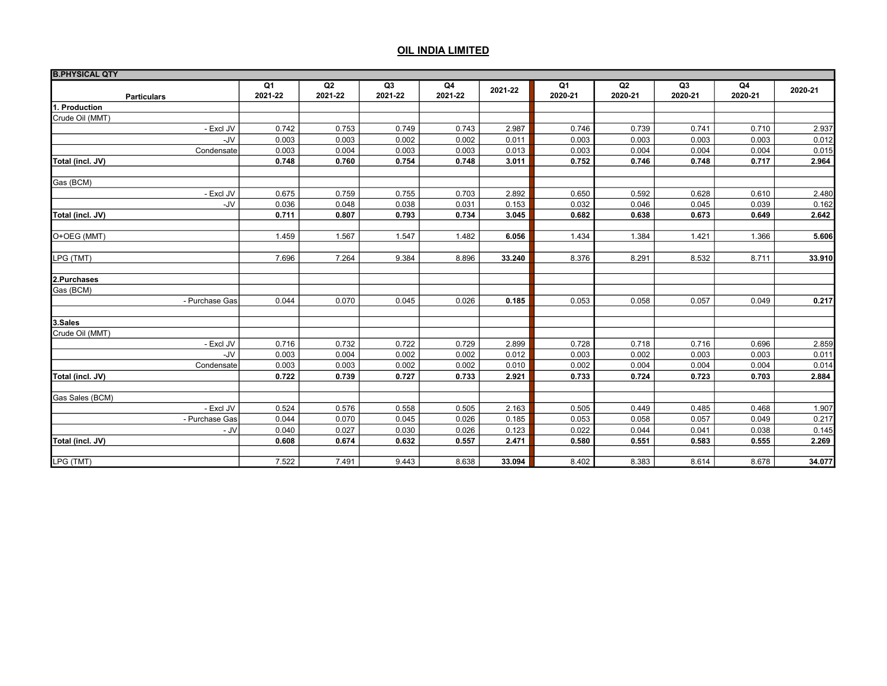| <b>B.PHYSICAL QTY</b> |         |         |                |         |         |         |         |                |         |         |
|-----------------------|---------|---------|----------------|---------|---------|---------|---------|----------------|---------|---------|
|                       | Q1      | Q2      | Q <sub>3</sub> | Q4      | 2021-22 | Q1      | Q2      | Q <sub>3</sub> | Q4      | 2020-21 |
| <b>Particulars</b>    | 2021-22 | 2021-22 | 2021-22        | 2021-22 |         | 2020-21 | 2020-21 | 2020-21        | 2020-21 |         |
| 1. Production         |         |         |                |         |         |         |         |                |         |         |
| Crude Oil (MMT)       |         |         |                |         |         |         |         |                |         |         |
| - Excl JV             | 0.742   | 0.753   | 0.749          | 0.743   | 2.987   | 0.746   | 0.739   | 0.741          | 0.710   | 2.937   |
| -JV                   | 0.003   | 0.003   | 0.002          | 0.002   | 0.011   | 0.003   | 0.003   | 0.003          | 0.003   | 0.012   |
| Condensate            | 0.003   | 0.004   | 0.003          | 0.003   | 0.013   | 0.003   | 0.004   | 0.004          | 0.004   | 0.015   |
| Total (incl. JV)      | 0.748   | 0.760   | 0.754          | 0.748   | 3.011   | 0.752   | 0.746   | 0.748          | 0.717   | 2.964   |
| Gas (BCM)             |         |         |                |         |         |         |         |                |         |         |
| - Excl JV             | 0.675   | 0.759   | 0.755          | 0.703   | 2.892   | 0.650   | 0.592   | 0.628          | 0.610   | 2.480   |
| -JV                   | 0.036   | 0.048   | 0.038          | 0.031   | 0.153   | 0.032   | 0.046   | 0.045          | 0.039   | 0.162   |
| Total (incl. JV)      | 0.711   | 0.807   | 0.793          | 0.734   | 3.045   | 0.682   | 0.638   | 0.673          | 0.649   | 2.642   |
|                       |         |         |                |         |         |         |         |                |         |         |
| O+OEG (MMT)           | 1.459   | 1.567   | 1.547          | 1.482   | 6.056   | 1.434   | 1.384   | 1.421          | 1.366   | 5.606   |
| LPG (TMT)             | 7.696   | 7.264   | 9.384          | 8.896   | 33.240  | 8.376   | 8.291   | 8.532          | 8.711   | 33.910  |
| 2.Purchases           |         |         |                |         |         |         |         |                |         |         |
| Gas (BCM)             |         |         |                |         |         |         |         |                |         |         |
| - Purchase Gas        | 0.044   | 0.070   | 0.045          | 0.026   | 0.185   | 0.053   | 0.058   | 0.057          | 0.049   | 0.217   |
|                       |         |         |                |         |         |         |         |                |         |         |
| 3.Sales               |         |         |                |         |         |         |         |                |         |         |
| Crude Oil (MMT)       |         |         |                |         |         |         |         |                |         |         |
| - Excl JV             | 0.716   | 0.732   | 0.722          | 0.729   | 2.899   | 0.728   | 0.718   | 0.716          | 0.696   | 2.859   |
| -JV                   | 0.003   | 0.004   | 0.002          | 0.002   | 0.012   | 0.003   | 0.002   | 0.003          | 0.003   | 0.011   |
| Condensate            | 0.003   | 0.003   | 0.002          | 0.002   | 0.010   | 0.002   | 0.004   | 0.004          | 0.004   | 0.014   |
| Total (incl. JV)      | 0.722   | 0.739   | 0.727          | 0.733   | 2.921   | 0.733   | 0.724   | 0.723          | 0.703   | 2.884   |
| Gas Sales (BCM)       |         |         |                |         |         |         |         |                |         |         |
| - Excl JV             | 0.524   | 0.576   | 0.558          | 0.505   | 2.163   | 0.505   | 0.449   | 0.485          | 0.468   | 1.907   |
| - Purchase Gas        | 0.044   | 0.070   | 0.045          | 0.026   | 0.185   | 0.053   | 0.058   | 0.057          | 0.049   | 0.217   |
| - JV                  | 0.040   | 0.027   | 0.030          | 0.026   | 0.123   | 0.022   | 0.044   | 0.041          | 0.038   | 0.145   |
| Total (incl. JV)      | 0.608   | 0.674   | 0.632          | 0.557   | 2.471   | 0.580   | 0.551   | 0.583          | 0.555   | 2.269   |
| LPG (TMT)             |         | 7.491   |                |         | 33.094  |         |         |                |         | 34.077  |
|                       | 7.522   |         | 9.443          | 8.638   |         | 8.402   | 8.383   | 8.614          | 8.678   |         |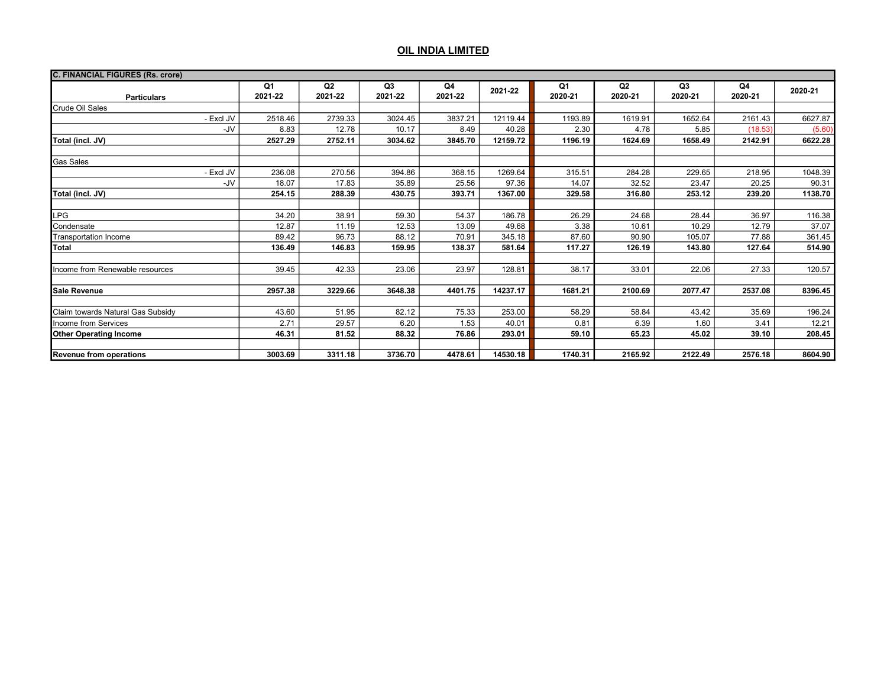| <b>C. FINANCIAL FIGURES (Rs. crore)</b> |                      |               |               |                  |          |               |                           |               |               |         |
|-----------------------------------------|----------------------|---------------|---------------|------------------|----------|---------------|---------------------------|---------------|---------------|---------|
| <b>Particulars</b>                      | <b>Q1</b><br>2021-22 | Q2<br>2021-22 | Q3<br>2021-22 | Q4<br>2021-22    | 2021-22  | Q1<br>2020-21 | Q <sub>2</sub><br>2020-21 | Q3<br>2020-21 | Q4<br>2020-21 | 2020-21 |
| Crude Oil Sales                         |                      |               |               |                  |          |               |                           |               |               |         |
| - Excl JV                               | 2518.46              | 2739.33       | 3024.45       | 3837.21          | 12119.44 | 1193.89       | 1619.91                   | 1652.64       | 2161.43       | 6627.87 |
| -JV                                     | 8.83                 | 12.78         | 10.17         | 8.49             | 40.28    | 2.30          | 4.78                      | 5.85          | (18.53)       | (5.60)  |
| Total (incl. JV)                        | 2527.29              | 2752.11       | 3034.62       | 3845.70          | 12159.72 | 1196.19       | 1624.69                   | 1658.49       | 2142.91       | 6622.28 |
|                                         |                      |               |               |                  |          |               |                           |               |               |         |
| <b>Gas Sales</b>                        |                      |               |               |                  |          |               |                           |               |               |         |
| - Excl JV                               | 236.08               | 270.56        | 394.86        | 368.15           | 1269.64  | 315.51        | 284.28                    | 229.65        | 218.95        | 1048.39 |
| -JV                                     | 18.07                | 17.83         | 35.89         | 25.56            | 97.36    | 14.07         | 32.52                     | 23.47         | 20.25         | 90.31   |
| Total (incl. JV)                        | 254.15               | 288.39        | 430.75        | 393.71           | 1367.00  | 329.58        | 316.80                    | 253.12        | 239.20        | 1138.70 |
| LPG                                     | 34.20                | 38.91         | 59.30         | 54.37            | 186.78   | 26.29         | 24.68                     | 28.44         | 36.97         | 116.38  |
| Condensate                              | 12.87                | 11.19         | 12.53         | 13.09            | 49.68    | 3.38          | 10.61                     | 10.29         | 12.79         | 37.07   |
| Transportation Income                   | 89.42                | 96.73         | 88.12         | 70.91            | 345.18   | 87.60         | 90.90                     | 105.07        | 77.88         | 361.45  |
| Total                                   | 136.49               | 146.83        | 159.95        | 138.37           | 581.64   | 117.27        | 126.19                    | 143.80        | 127.64        | 514.90  |
| Income from Renewable resources         | 39.45                | 42.33         | 23.06         | 23.97            | 128.81   | 38.17         | 33.01                     | 22.06         | 27.33         | 120.57  |
| Sale Revenue                            | 2957.38              | 3229.66       | 3648.38       | 4401.75          | 14237.17 | 1681.21       | 2100.69                   | 2077.47       | 2537.08       | 8396.45 |
| Claim towards Natural Gas Subsidy       | 43.60                | 51.95         | 82.12         |                  | 253.00   | 58.29         | 58.84                     | 43.42         | 35.69         | 196.24  |
| Income from Services                    | 2.71                 | 29.57         | 6.20          | 1.53             | 40.01    | 0.81          | 6.39                      | 1.60          | 3.41          | 12.21   |
| <b>Other Operating Income</b>           | 46.31                | 81.52         | 88.32         | 76.86            | 293.01   | 59.10         | 65.23                     | 45.02         | 39.10         | 208.45  |
|                                         |                      |               |               |                  |          |               |                           |               |               |         |
| Revenue from operations                 | 3003.69              | 3311.18       | 3736.70       | 75.33<br>4478.61 | 14530.18 | 1740.31       | 2165.92                   | 2122.49       | 2576.18       | 8604.90 |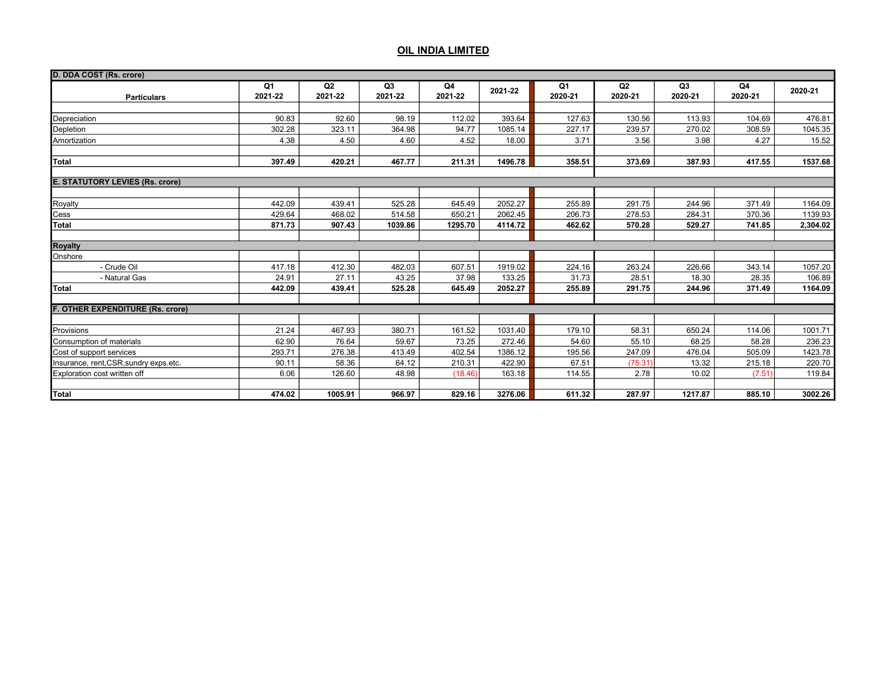| D. DDA COST (Rs. crore)                |                           |               |                           |               |         |                           |               |                           |               |          |
|----------------------------------------|---------------------------|---------------|---------------------------|---------------|---------|---------------------------|---------------|---------------------------|---------------|----------|
| <b>Particulars</b>                     | Q <sub>1</sub><br>2021-22 | Q2<br>2021-22 | Q <sub>3</sub><br>2021-22 | Q4<br>2021-22 | 2021-22 | Q <sub>1</sub><br>2020-21 | Q2<br>2020-21 | Q <sub>3</sub><br>2020-21 | Q4<br>2020-21 | 2020-21  |
|                                        |                           |               |                           |               |         |                           |               |                           |               |          |
| Depreciation                           | 90.83                     | 92.60         | 98.19                     | 112.02        | 393.64  | 127.63                    | 130.56        | 113.93                    | 104.69        | 476.81   |
| Depletion                              | 302.28                    | 323.11        | 364.98                    | 94.77         | 1085.14 | 227.17                    | 239.57        | 270.02                    | 308.59        | 1045.35  |
| Amortization                           | 4.38                      | 4.50          | 4.60                      | 4.52          | 18.00   | 3.71                      | 3.56          | 3.98                      | 4.27          | 15.52    |
|                                        |                           |               |                           |               |         |                           |               |                           |               |          |
| Total                                  | 397.49                    | 420.21        | 467.77                    | 211.31        | 1496.78 | 358.51                    | 373.69        | 387.93                    | 417.55        | 1537.68  |
|                                        |                           |               |                           |               |         |                           |               |                           |               |          |
| <b>E. STATUTORY LEVIES (Rs. crore)</b> |                           |               |                           |               |         |                           |               |                           |               |          |
|                                        |                           |               |                           |               |         |                           |               |                           |               |          |
| Royalty                                | 442.09                    | 439.41        | 525.28                    | 645.49        | 2052.27 | 255.89                    | 291.75        | 244.96                    | 371.49        | 1164.09  |
| Cess                                   | 429.64                    | 468.02        | 514.58                    | 650.21        | 2062.45 | 206.73                    | 278.53        | 284.31                    | 370.36        | 1139.93  |
| <b>Total</b>                           | 871.73                    | 907.43        | 1039.86                   | 1295.70       | 4114.72 | 462.62                    | 570.28        | 529.27                    | 741.85        | 2,304.02 |
| <b>Royalty</b>                         |                           |               |                           |               |         |                           |               |                           |               |          |
| Onshore                                |                           |               |                           |               |         |                           |               |                           |               |          |
| - Crude Oil                            | 417.18                    | 412.30        | 482.03                    | 607.51        | 1919.02 | 224.16                    | 263.24        | 226.66                    | 343.14        | 1057.20  |
| - Natural Gas                          | 24.91                     | 27.11         | 43.25                     | 37.98         | 133.25  | 31.73                     | 28.51         | 18.30                     | 28.35         | 106.89   |
| Total                                  | 442.09                    | 439.41        | 525.28                    | 645.49        | 2052.27 | 255.89                    | 291.75        | 244.96                    | 371.49        | 1164.09  |
|                                        |                           |               |                           |               |         |                           |               |                           |               |          |
| F. OTHER EXPENDITURE (Rs. crore)       |                           |               |                           |               |         |                           |               |                           |               |          |
|                                        |                           |               |                           |               |         |                           |               |                           |               |          |
| Provisions                             | 21.24                     | 467.93        | 380.71                    | 161.52        | 1031.40 | 179.10                    | 58.31         | 650.24                    | 114.06        | 1001.71  |
| Consumption of materials               | 62.90                     | 76.64         | 59.67                     | 73.25         | 272.46  | 54.60                     | 55.10         | 68.25                     | 58.28         | 236.23   |
| Cost of support services               | 293.71                    | 276.38        | 413.49                    | 402.54        | 1386.12 | 195.56                    | 247.09        | 476.04                    | 505.09        | 1423.78  |
| Insurance, rent, CSR, sundry exps.etc. | 90.11                     | 58.36         | 64.12                     | 210.31        | 422.90  | 67.51                     | (75.31)       | 13.32                     | 215.18        | 220.70   |
| Exploration cost written off           | 6.06                      | 126.60        | 48.98                     | (18.46)       | 163.18  | 114.55                    | 2.78          | 10.02                     | (7.51)        | 119.84   |
|                                        |                           |               |                           |               |         |                           |               |                           |               |          |
| Total                                  | 474.02                    | 1005.91       | 966.97                    | 829.16        | 3276.06 | 611.32                    | 287.97        | 1217.87                   | 885.10        | 3002.26  |